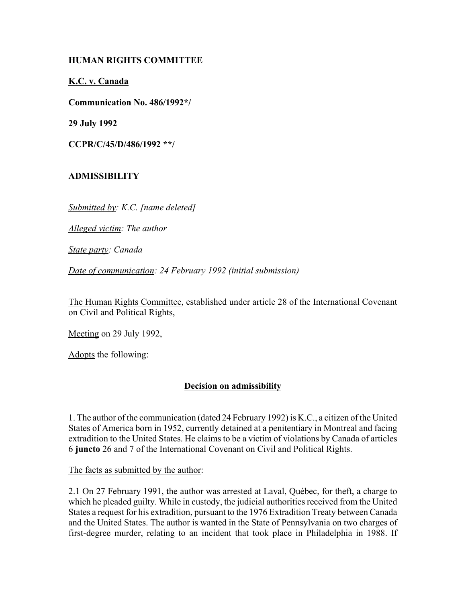## **HUMAN RIGHTS COMMITTEE**

**K.C. v. Canada**

**Communication No. 486/1992\*/**

**29 July 1992**

**CCPR/C/45/D/486/1992 \*\*/** 

# **ADMISSIBILITY**

*Submitted by: K.C. [name deleted]*

*Alleged victim: The author*

*State party: Canada*

*Date of communication: 24 February 1992 (initial submission)*

The Human Rights Committee, established under article 28 of the International Covenant on Civil and Political Rights,

Meeting on 29 July 1992,

Adopts the following:

# **Decision on admissibility**

1. The author of the communication (dated 24 February 1992) is K.C., a citizen of the United States of America born in 1952, currently detained at a penitentiary in Montreal and facing extradition to the United States. He claims to be a victim of violations by Canada of articles 6 **juncto** 26 and 7 of the International Covenant on Civil and Political Rights.

The facts as submitted by the author:

2.1 On 27 February 1991, the author was arrested at Laval, QuÈbec, for theft, a charge to which he pleaded guilty. While in custody, the judicial authorities received from the United States a request for his extradition, pursuant to the 1976 Extradition Treaty between Canada and the United States. The author is wanted in the State of Pennsylvania on two charges of first-degree murder, relating to an incident that took place in Philadelphia in 1988. If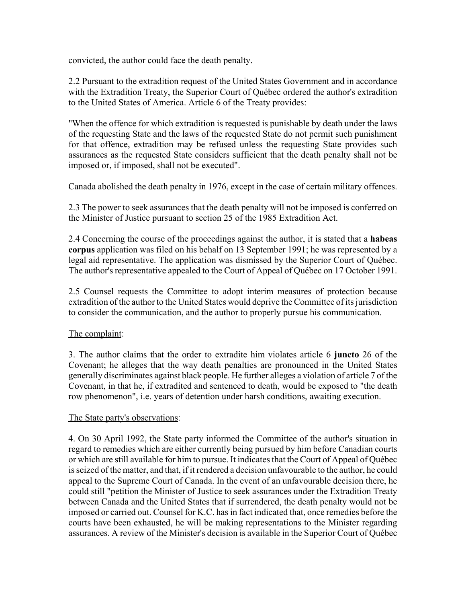convicted, the author could face the death penalty.

2.2 Pursuant to the extradition request of the United States Government and in accordance with the Extradition Treaty, the Superior Court of Québec ordered the author's extradition to the United States of America. Article 6 of the Treaty provides:

"When the offence for which extradition is requested is punishable by death under the laws of the requesting State and the laws of the requested State do not permit such punishment for that offence, extradition may be refused unless the requesting State provides such assurances as the requested State considers sufficient that the death penalty shall not be imposed or, if imposed, shall not be executed".

Canada abolished the death penalty in 1976, except in the case of certain military offences.

2.3 The power to seek assurances that the death penalty will not be imposed is conferred on the Minister of Justice pursuant to section 25 of the 1985 Extradition Act.

2.4 Concerning the course of the proceedings against the author, it is stated that a **habeas corpus** application was filed on his behalf on 13 September 1991; he was represented by a legal aid representative. The application was dismissed by the Superior Court of Québec. The author's representative appealed to the Court of Appeal of QuÈbec on 17 October 1991.

2.5 Counsel requests the Committee to adopt interim measures of protection because extradition of the author to the United States would deprive the Committee of its jurisdiction to consider the communication, and the author to properly pursue his communication.

#### The complaint:

3. The author claims that the order to extradite him violates article 6 **juncto** 26 of the Covenant; he alleges that the way death penalties are pronounced in the United States generally discriminates against black people. He further alleges a violation of article 7 of the Covenant, in that he, if extradited and sentenced to death, would be exposed to "the death row phenomenon", i.e. years of detention under harsh conditions, awaiting execution.

#### The State party's observations:

4. On 30 April 1992, the State party informed the Committee of the author's situation in regard to remedies which are either currently being pursued by him before Canadian courts or which are still available for him to pursue. It indicates that the Court of Appeal of QuÈbec is seized of the matter, and that, if it rendered a decision unfavourable to the author, he could appeal to the Supreme Court of Canada. In the event of an unfavourable decision there, he could still "petition the Minister of Justice to seek assurances under the Extradition Treaty between Canada and the United States that if surrendered, the death penalty would not be imposed or carried out. Counsel for K.C. has in fact indicated that, once remedies before the courts have been exhausted, he will be making representations to the Minister regarding assurances. A review of the Minister's decision is available in the Superior Court of Québec